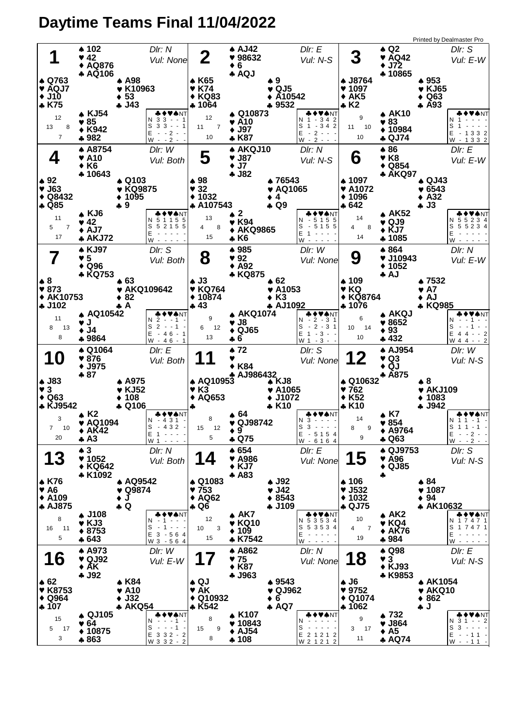## **Daytime Teams Final 11/04/2022**